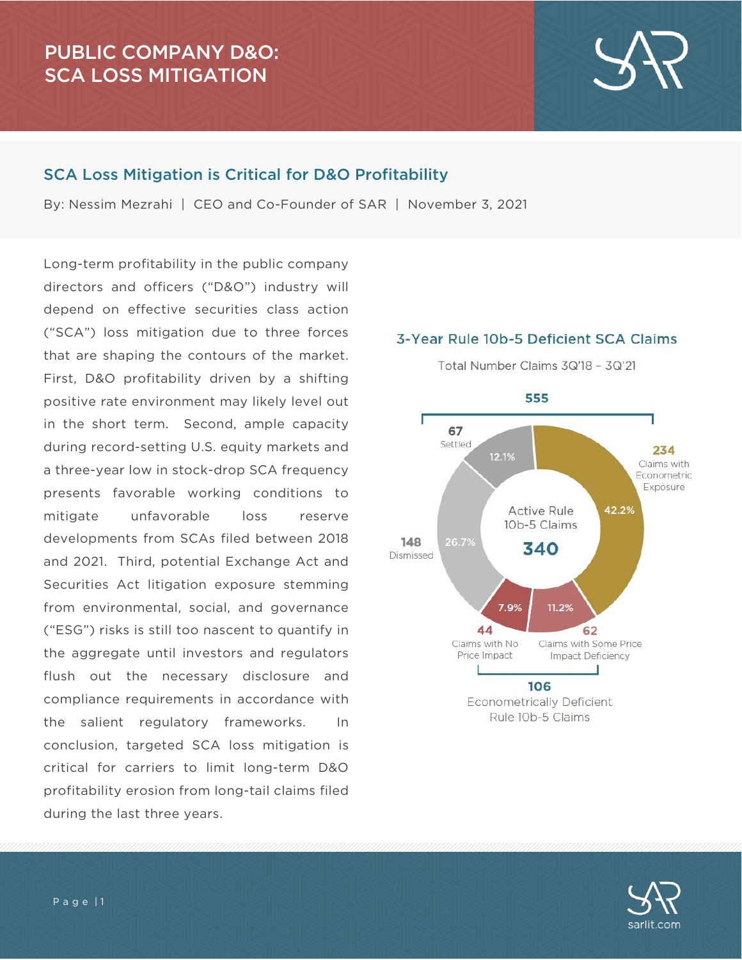# PUBLIC COMPANY D&O: SCA LOSS MITIGATION

#### SCA Loss Mitigation is Critical for D&O Profitability

By: Nessim Mezrahi | CEO and Co-Founder of SAR | November 3, 2021

Long-term profitability in the public company directors and officers ("D&O") industry will depend on effective securities class action ("SCA") loss mitigation due to three forces that are shaping the contours of the market. First, D&O profitability driven by a shifting positive rate environment may likely level out in the short term. Second, ample capacity during record-setting U.S. equity markets and a three-year low in stock-drop SCA frequency presents favorable working conditions to mitigate unfavorable loss reserve developments from SCAs filed between 2018 and 2021. Third, potential Exchange Act and Securities Act litigation exposure stemming from environmental, social, and governance ("ESG") risks is still too nascent to quantify in the aggregate until investors and regulators flush out the necessary disclosure and compliance requirements in accordance with the salient regulatory frameworks. In conclusion, targeted SCA loss mitigation is critical for carriers to limit long-term D&O profitability erosion from long-tail claims filed during the last three years.

#### 3-Year Rule 10b-5 Deficient SCA Claims



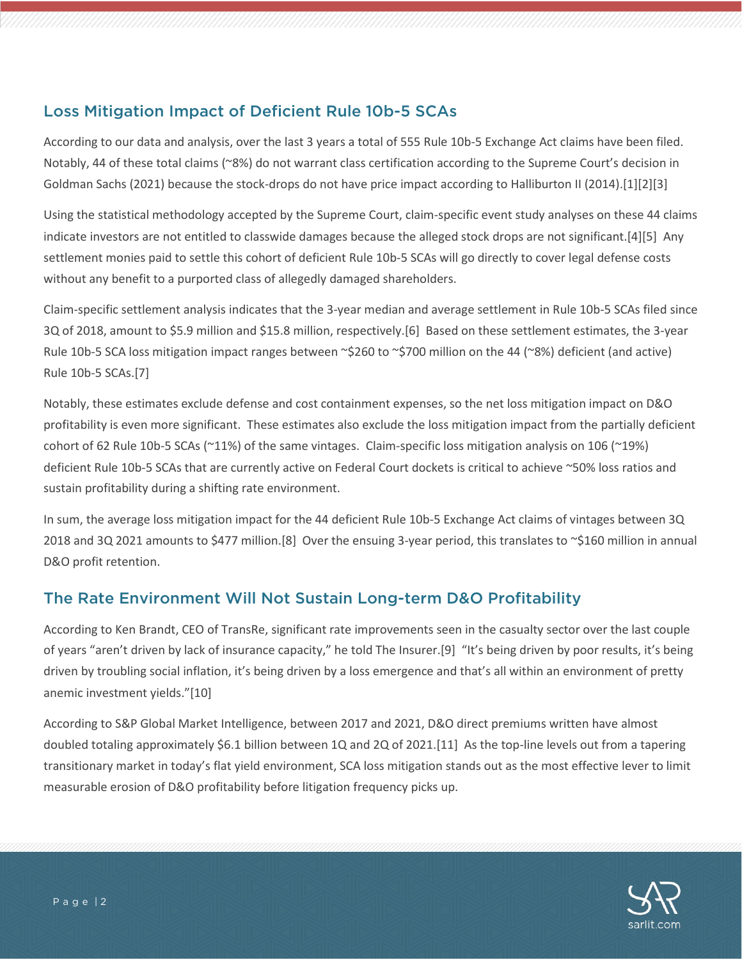# Loss Mitigation Impact of Deficient Rule 10b-5 SCAs

According to our data and analysis, over the last 3 years a total of 555 Rule 10b-5 Exchange Act claims have been filed. Notably, 44 of these total claims (~8%) do not warrant class certification according to the Supreme Court's decision in Goldman Sachs (2021) because the stock-drops do not have price impact according to Halliburton II (2014).[1][2][3]

Using the statistical methodology accepted by the Supreme Court, claim-specific event study analyses on these 44 claims indicate investors are not entitled to classwide damages because the alleged stock drops are not significant.[4][5] Any settlement monies paid to settle this cohort of deficient Rule 10b-5 SCAs will go directly to cover legal defense costs without any benefit to a purported class of allegedly damaged shareholders.

Claim-specific settlement analysis indicates that the 3-year median and average settlement in Rule 10b-5 SCAs filed since 3Q of 2018, amount to \$5.9 million and \$15.8 million, respectively.[6] Based on these settlement estimates, the 3-year Rule 10b-5 SCA loss mitigation impact ranges between ~\$260 to ~\$700 million on the 44 (~8%) deficient (and active) Rule 10b-5 SCAs.[7]

Notably, these estimates exclude defense and cost containment expenses, so the net loss mitigation impact on D&O profitability is even more significant. These estimates also exclude the loss mitigation impact from the partially deficient cohort of 62 Rule 10b-5 SCAs (~11%) of the same vintages. Claim-specific loss mitigation analysis on 106 (~19%) deficient Rule 10b-5 SCAs that are currently active on Federal Court dockets is critical to achieve ~50% loss ratios and sustain profitability during a shifting rate environment.

In sum, the average loss mitigation impact for the 44 deficient Rule 10b-5 Exchange Act claims of vintages between 3Q 2018 and 3Q 2021 amounts to \$477 million.[8] Over the ensuing 3-year period, this translates to ~\$160 million in annual D&O profit retention.

### The Rate Environment Will Not Sustain Long-term D&O Profitability

According to Ken Brandt, CEO of TransRe, significant rate improvements seen in the casualty sector over the last couple of years "aren't driven by lack of insurance capacity," he told The Insurer.[9] "It's being driven by poor results, it's being driven by troubling social inflation, it's being driven by a loss emergence and that's all within an environment of pretty anemic investment yields."[10]

According to S&P Global Market Intelligence, between 2017 and 2021, D&O direct premiums written have almost doubled totaling approximately \$6.1 billion between 1Q and 2Q of 2021.[11] As the top-line levels out from a tapering transitionary market in today's flat yield environment, SCA loss mitigation stands out as the most effective lever to limit measurable erosion of D&O profitability before litigation frequency picks up.

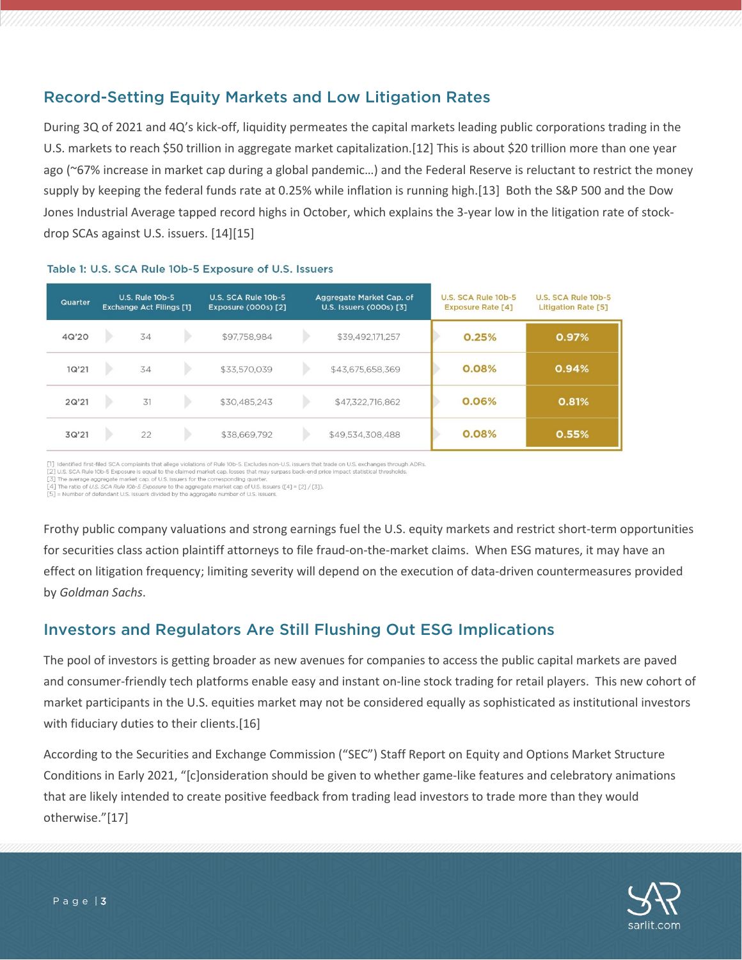## Record-Setting Equity Markets and Low Litigation Rates

During 3Q of 2021 and 4Q's kick-off, liquidity permeates the capital markets leading public corporations trading in the U.S. markets to reach \$50 trillion in aggregate market capitalization.[12] This is about \$20 trillion more than one year ago (~67% increase in market cap during a global pandemic…) and the Federal Reserve is reluctant to restrict the money supply by keeping the federal funds rate at 0.25% while inflation is running high.[13] Both the S&P 500 and the Dow Jones Industrial Average tapped record highs in October, which explains the 3-year low in the litigation rate of stockdrop SCAs against U.S. issuers. [14][15]

| Quarter | <b>U.S. Rule 10b-5</b><br><b>Exchange Act Filings [1]</b> |    |  | U.S. SCA Rule 10b-5<br><b>Exposure (000s) [2]</b> | Aggregate Market Cap. of<br>U.S. Issuers (000s) [3] |                  | U.S. SCA Rule 10b-5<br><b>Exposure Rate [4]</b> |       | U.S. SCA Rule 10b-5<br>Litigation Rate [5] |
|---------|-----------------------------------------------------------|----|--|---------------------------------------------------|-----------------------------------------------------|------------------|-------------------------------------------------|-------|--------------------------------------------|
| 4Q'20   |                                                           | 34 |  | \$97,758,984                                      |                                                     | \$39,492,171,257 |                                                 | 0.25% | 0.97%                                      |
| 1Q'21   |                                                           | 34 |  | \$33,570,039                                      |                                                     | \$43,675,658,369 |                                                 | 0.08% | 0.94%                                      |
| 2Q'21   |                                                           | 31 |  | \$30,485,243                                      |                                                     | \$47,322,716,862 |                                                 | 0.06% | 0.81%                                      |
| 3Q'21   |                                                           | 22 |  | \$38,669,792                                      |                                                     | \$49,534,308,488 |                                                 | 0.08% | 0.55%                                      |

#### Table 1: U.S. SCA Rule 10b-5 Exposure of U.S. Issuers

[1] Identified first-filed SCA complaints that allege violations of Rule 10b-5. Excludes non-U.S. Issuers that trade on U.S. exchanges through ADRs.

[2] U.S. SCA Rule 10b-5 Exposure is equal to the claimed market cap, losses that may surpass back-end price impact statistical thresholds

 $[3]$  The average aggregate market cap, of U.S. issuers for the corresponding quarter.<br> $[3]$  The average aggregate market cap, of U.S. issuers for the corresponding quarter.<br> $[4]$  The ratio of *U.S. SCA Rule 10b-5 Exposur* 

[5] = Number of defendant U.S. Issuers divided by the aggregate number of U.S. Issuers

Frothy public company valuations and strong earnings fuel the U.S. equity markets and restrict short-term opportunities for securities class action plaintiff attorneys to file fraud-on-the-market claims. When ESG matures, it may have an effect on litigation frequency; limiting severity will depend on the execution of data-driven countermeasures provided by *Goldman Sachs*.

#### Investors and Regulators Are Still Flushing Out ESG Implications

The pool of investors is getting broader as new avenues for companies to access the public capital markets are paved and consumer-friendly tech platforms enable easy and instant on-line stock trading for retail players. This new cohort of market participants in the U.S. equities market may not be considered equally as sophisticated as institutional investors with fiduciary duties to their clients.[16]

According to the Securities and Exchange Commission ("SEC") Staff Report on Equity and Options Market Structure Conditions in Early 2021, "[c]onsideration should be given to whether game-like features and celebratory animations that are likely intended to create positive feedback from trading lead investors to trade more than they would otherwise."[17]

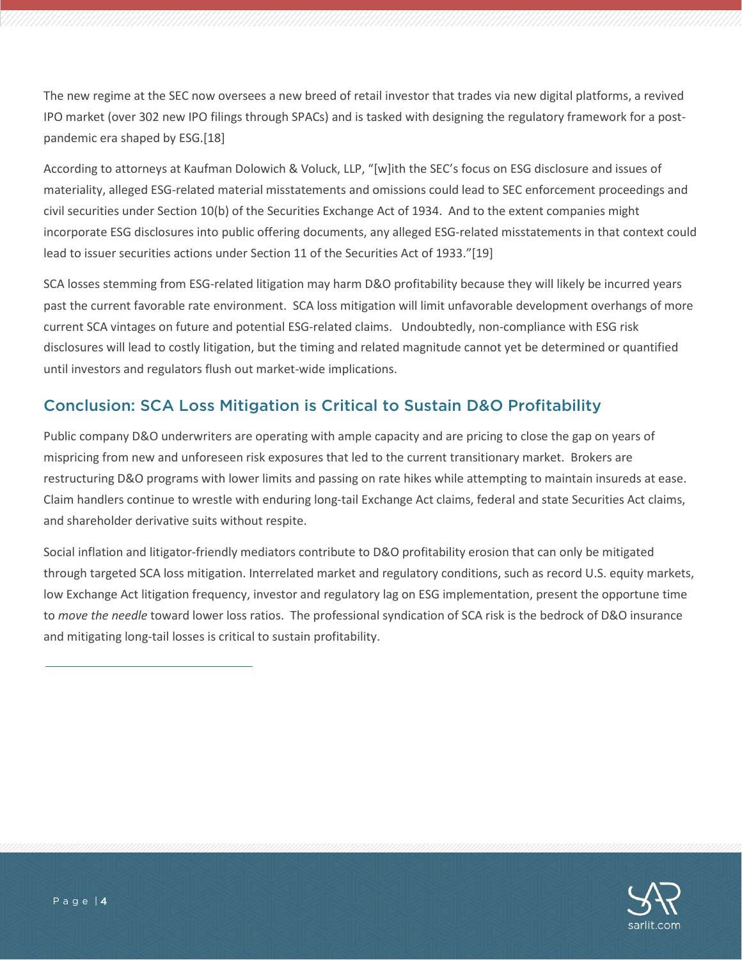The new regime at the SEC now oversees a new breed of retail investor that trades via new digital platforms, a revived IPO market (over 302 new IPO filings through SPACs) and is tasked with designing the regulatory framework for a postpandemic era shaped by ESG.[18]

According to attorneys at Kaufman Dolowich & Voluck, LLP, "[w]ith the SEC's focus on ESG disclosure and issues of materiality, alleged ESG-related material misstatements and omissions could lead to SEC enforcement proceedings and civil securities under Section 10(b) of the Securities Exchange Act of 1934. And to the extent companies might incorporate ESG disclosures into public offering documents, any alleged ESG-related misstatements in that context could lead to issuer securities actions under Section 11 of the Securities Act of 1933."[19]

SCA losses stemming from ESG-related litigation may harm D&O profitability because they will likely be incurred years past the current favorable rate environment. SCA loss mitigation will limit unfavorable development overhangs of more current SCA vintages on future and potential ESG-related claims. Undoubtedly, non-compliance with ESG risk disclosures will lead to costly litigation, but the timing and related magnitude cannot yet be determined or quantified until investors and regulators flush out market-wide implications.

#### Conclusion: SCA Loss Mitigation is Critical to Sustain D&O Profitability

Public company D&O underwriters are operating with ample capacity and are pricing to close the gap on years of mispricing from new and unforeseen risk exposures that led to the current transitionary market. Brokers are restructuring D&O programs with lower limits and passing on rate hikes while attempting to maintain insureds at ease. Claim handlers continue to wrestle with enduring long-tail Exchange Act claims, federal and state Securities Act claims, and shareholder derivative suits without respite.

Social inflation and litigator-friendly mediators contribute to D&O profitability erosion that can only be mitigated through targeted SCA loss mitigation. Interrelated market and regulatory conditions, such as record U.S. equity markets, low Exchange Act litigation frequency, investor and regulatory lag on ESG implementation, present the opportune time to *move the needle* toward lower loss ratios. The professional syndication of SCA risk is the bedrock of D&O insurance and mitigating long-tail losses is critical to sustain profitability.

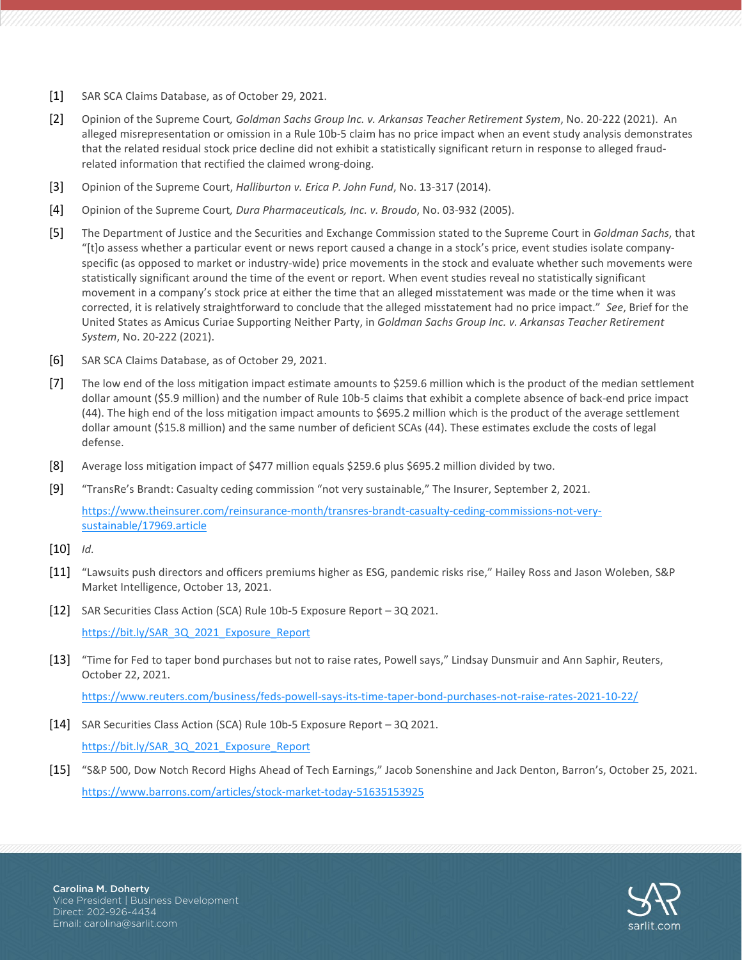- [1] SAR SCA Claims Database, as of October 29, 2021.
- [2] Opinion of the Supreme Court*, Goldman Sachs Group Inc. v. Arkansas Teacher Retirement System*, No. 20-222 (2021). An alleged misrepresentation or omission in a Rule 10b-5 claim has no price impact when an event study analysis demonstrates that the related residual stock price decline did not exhibit a statistically significant return in response to alleged fraudrelated information that rectified the claimed wrong-doing.
- [3] Opinion of the Supreme Court, *Halliburton v. Erica P. John Fund*, No. 13-317 (2014).
- [4] Opinion of the Supreme Court*, Dura Pharmaceuticals, Inc. v. Broudo*, No. 03-932 (2005).
- [5] The Department of Justice and the Securities and Exchange Commission stated to the Supreme Court in *Goldman Sachs*, that "[t]o assess whether a particular event or news report caused a change in a stock's price, event studies isolate companyspecific (as opposed to market or industry-wide) price movements in the stock and evaluate whether such movements were statistically significant around the time of the event or report. When event studies reveal no statistically significant movement in a company's stock price at either the time that an alleged misstatement was made or the time when it was corrected, it is relatively straightforward to conclude that the alleged misstatement had no price impact." *See*, Brief for the United States as Amicus Curiae Supporting Neither Party, in *Goldman Sachs Group Inc. v. Arkansas Teacher Retirement System*, No. 20-222 (2021).
- [6] SAR SCA Claims Database, as of October 29, 2021.
- [7] The low end of the loss mitigation impact estimate amounts to \$259.6 million which is the product of the median settlement dollar amount (\$5.9 million) and the number of Rule 10b-5 claims that exhibit a complete absence of back-end price impact (44). The high end of the loss mitigation impact amounts to \$695.2 million which is the product of the average settlement dollar amount (\$15.8 million) and the same number of deficient SCAs (44). These estimates exclude the costs of legal defense.
- [8] Average loss mitigation impact of \$477 million equals \$259.6 plus \$695.2 million divided by two.
- [9] "TransRe's Brandt: Casualty ceding commission "not very sustainable," The Insurer, September 2, 2021.

[https://www.theinsurer.com/reinsurance-month/transres-brandt-casualty-ceding-commissions-not-very](https://www.theinsurer.com/reinsurance-month/transres-brandt-casualty-ceding-commissions-not-very-sustainable/17969.article)[sustainable/17969.article](https://www.theinsurer.com/reinsurance-month/transres-brandt-casualty-ceding-commissions-not-very-sustainable/17969.article)

- [10] *Id.*
- [11] "Lawsuits push directors and officers premiums higher as ESG, pandemic risks rise," Hailey Ross and Jason Woleben, S&P Market Intelligence, October 13, 2021.
- [12] SAR Securities Class Action (SCA) Rule 10b-5 Exposure Report 3Q 2021.

[https://bit.ly/SAR\\_3Q\\_2021\\_Exposure\\_Report](https://bit.ly/SAR_3Q_2021_Exposure_Report)

[13] "Time for Fed to taper bond purchases but not to raise rates, Powell says," Lindsay Dunsmuir and Ann Saphir, Reuters, October 22, 2021.

<https://www.reuters.com/business/feds-powell-says-its-time-taper-bond-purchases-not-raise-rates-2021-10-22/>

[14] SAR Securities Class Action (SCA) Rule 10b-5 Exposure Report – 3Q 2021.

[https://bit.ly/SAR\\_3Q\\_2021\\_Exposure\\_Report](https://bit.ly/SAR_3Q_2021_Exposure_Report)

[15] "S&P 500, Dow Notch Record Highs Ahead of Tech Earnings," Jacob Sonenshine and Jack Denton, Barron's, October 25, 2021. <https://www.barrons.com/articles/stock-market-today-51635153925>